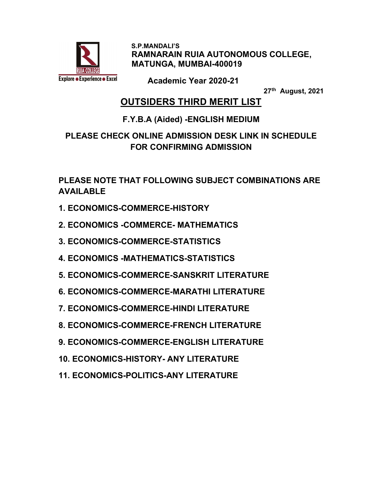

 S.P.MANDALI'S RAMNARAIN RUIA AUTONOMOUS COLLEGE, MATUNGA, MUMBAI-400019

Academic Year 2020-21

27th August, 2021

## OUTSIDERS THIRD MERIT LIST

#### F.Y.B.A (Aided) -ENGLISH MEDIUM

### PLEASE CHECK ONLINE ADMISSION DESK LINK IN SCHEDULE FOR CONFIRMING ADMISSION

PLEASE NOTE THAT FOLLOWING SUBJECT COMBINATIONS ARE AVAILABLE

- 1. ECONOMICS-COMMERCE-HISTORY
- 2. ECONOMICS -COMMERCE- MATHEMATICS
- 3. ECONOMICS-COMMERCE-STATISTICS
- 4. ECONOMICS -MATHEMATICS-STATISTICS
- 5. ECONOMICS-COMMERCE-SANSKRIT LITERATURE
- 6. ECONOMICS-COMMERCE-MARATHI LITERATURE
- 7. ECONOMICS-COMMERCE-HINDI LITERATURE
- 8. ECONOMICS-COMMERCE-FRENCH LITERATURE
- 9. ECONOMICS-COMMERCE-ENGLISH LITERATURE
- 10. ECONOMICS-HISTORY- ANY LITERATURE
- 11. ECONOMICS-POLITICS-ANY LITERATURE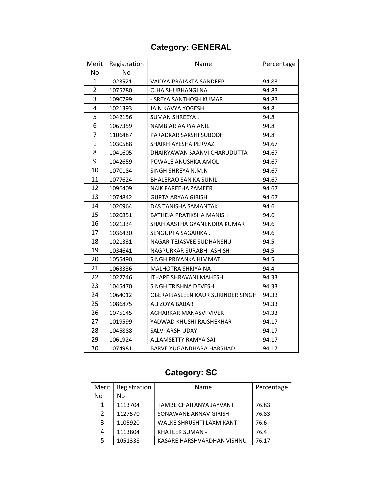# Category: GENERAL

| Merit          | Registration | Name                               | Percentage |
|----------------|--------------|------------------------------------|------------|
| No             | No           |                                    |            |
| 1              | 1023521      | VAIDYA PRAJAKTA SANDEEP            | 94.83      |
| $\overline{2}$ | 1075280      | OJHA SHUBHANGI NA                  | 94.83      |
| 3              | 1090799      | - SREYA SANTHOSH KUMAR             | 94.83      |
| 4              | 1021393      | <b>JAIN KAVYA YOGESH</b>           | 94.8       |
| 5              | 1042156      | SUMAN SHREEYA.                     | 94.8       |
| 6              | 1067359      | NAMBIAR AARYA ANIL                 | 94.8       |
| 7              | 1106487      | PARADKAR SAKSHI SUBODH             | 94.8       |
| $\mathbf{1}$   | 1030588      | SHAIKH AYESHA PERVAZ               | 94.67      |
| 8              | 1041605      | DHAIRYAWAN SAANVI CHARUDUTTA       | 94.67      |
| 9              | 1042659      | POWALE ANUSHKA AMOL                | 94.67      |
| 10             | 1070184      | SINGH SHREYA N.M.N                 | 94.67      |
| 11             | 1077624      | <b>BHALERAO SANIKA SUNIL</b>       | 94.67      |
| 12             | 1096409      | NAIK FAREEHA ZAMEER                | 94.67      |
| 13             | 1074842      | GUPTA ARYAA GIRISH                 | 94.67      |
| 14             | 1020964      | DAS TANISHA SAMANTAK               | 94.6       |
| 15             | 1020851      | BATHEJA PRATIKSHA MANISH           | 94.6       |
| 16             | 1021334      | SHAH AASTHA GYANENDRA KUMAR        | 94.6       |
| 17             | 1036430      | SENGUPTA SAGARIKA.                 | 94.6       |
| 18             | 1021331      | NAGAR TEJASVEE SUDHANSHU           | 94.5       |
| 19             | 1034641      | NAGPURKAR SURABHI ASHISH           | 94.5       |
| 20             | 1055490      | SINGH PRIYANKA HIMMAT              | 94.5       |
| 21             | 1063336      | MALHOTRA SHRIYA NA                 | 94.4       |
| 22             | 1022746      | <b>ITHAPE SHRAVANI MAHESH</b>      | 94.33      |
| 23             | 1045470      | SINGH TRISHNA DEVESH               | 94.33      |
| 24             | 1064012      | OBERAI JASLEEN KAUR SURINDER SINGH | 94.33      |
| 25             | 1086875      | ALI ZOYA BABAR                     | 94.33      |
| 26             | 1075145      | AGHARKAR MANASVI VIVEK             | 94.33      |
| 27             | 1019599      | YADWAD KHUSHI RAJSHEKHAR           | 94.17      |
| 28             | 1045888      | SALVI ARSH UDAY                    | 94.17      |
| 29             | 1061924      | ALLAMSETTY RAMYA SAI               | 94.17      |
| 30             | 1074981      | <b>BARVE YUGANDHARA HARSHAD</b>    | 94.17      |

# Category: SC

| Merit | Registration | Name                            | Percentage |
|-------|--------------|---------------------------------|------------|
| No    | No.          |                                 |            |
| 1     | 1113704      | TAMBE CHAITANYA JAYVANT         | 76.83      |
| 2     | 1127570      | SONAWANE ARNAV GIRISH           | 76.83      |
| 3     | 1105920      | <b>WALKE SHRUSHTI LAXMIKANT</b> | 76.6       |
| 4     | 1113804      | <b>KHATEEK SUMAN -</b>          | 76.4       |
| 5     | 1051338      | KASARE HARSHVARDHAN VISHNU      | 76.17      |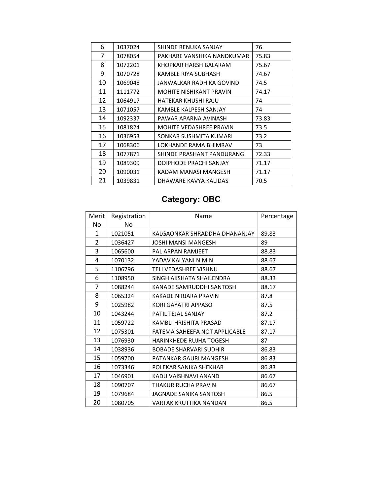| 6  | 1037024 | SHINDE RENUKA SANJAY       | 76    |
|----|---------|----------------------------|-------|
| 7  | 1078054 | PAKHARE VANSHIKA NANDKUMAR | 75.83 |
| 8  | 1072201 | KHOPKAR HARSH BALARAM      | 75.67 |
| 9  | 1070728 | KAMBLE RIYA SUBHASH        | 74.67 |
| 10 | 1069048 | JANWALKAR RADHIKA GOVIND   | 74.5  |
| 11 | 1111772 | MOHITE NISHIKANT PRAVIN    | 74.17 |
| 12 | 1064917 | HATEKAR KHUSHI RAJU        | 74    |
| 13 | 1071057 | KAMBLE KALPESH SANJAY      | 74    |
| 14 | 1092337 | PAWAR APARNA AVINASH       | 73.83 |
| 15 | 1081824 | MOHITE VEDASHREE PRAVIN    | 73.5  |
| 16 | 1036953 | SONKAR SUSHMITA KUMARI     | 73.2  |
| 17 | 1068306 | LOKHANDE RAMA BHIMRAV      | 73    |
| 18 | 1077871 | SHINDE PRASHANT PANDURANG  | 72.33 |
| 19 | 1089309 | DOIPHODE PRACHI SANJAY     | 71.17 |
| 20 | 1090031 | KADAM MANASI MANGESH       | 71.17 |
| 21 | 1039831 | DHAWARE KAVYA KALIDAS      | 70.5  |

# Category: OBC

| Merit          | Registration | Name                           | Percentage |
|----------------|--------------|--------------------------------|------------|
| No.            | No           |                                |            |
| 1              | 1021051      | KALGAONKAR SHRADDHA DHANANJAY  | 89.83      |
| $\overline{2}$ | 1036427      | <b>JOSHI MANSI MANGESH</b>     | 89         |
| 3              | 1065600      | PAL ARPAN RAMJEET              | 88.83      |
| 4              | 1070132      | YADAV KAI YANI N.M.N           | 88.67      |
| 5              | 1106796      | <b>TELI VEDASHREE VISHNU</b>   | 88.67      |
| 6              | 1108950      | SINGH AKSHATA SHAILENDRA       | 88.33      |
| 7              | 1088244      | KANADE SAMRUDDHI SANTOSH       | 88.17      |
| 8              | 1065324      | KAKADE NIRJARA PRAVIN          | 87.8       |
| 9              | 1025982      | <b>KORI GAYATRI APPASO</b>     | 87.5       |
| 10             | 1043244      | PATIL TEJAL SANJAY             | 87.2       |
| 11             | 1059722      | KAMBLI HRISHITA PRASAD         | 87.17      |
| 12             | 1075301      | FATEMA SAHEEFA NOT APPLICABLE  | 87.17      |
| 13             | 1076930      | <b>HARINKHEDE RUJHA TOGESH</b> | 87         |
| 14             | 1038936      | <b>BOBADE SHARVARI SUDHIR</b>  | 86.83      |
| 15             | 1059700      | PATANKAR GAURI MANGESH         | 86.83      |
| 16             | 1073346      | POLEKAR SANIKA SHEKHAR         | 86.83      |
| 17             | 1046901      | KADU VAISHNAVI ANAND           | 86.67      |
| 18             | 1090707      | THAKUR RUCHA PRAVIN            | 86.67      |
| 19             | 1079684      | JAGNADE SANIKA SANTOSH         | 86.5       |
| 20             | 1080705      | VARTAK KRUTTIKA NANDAN         | 86.5       |